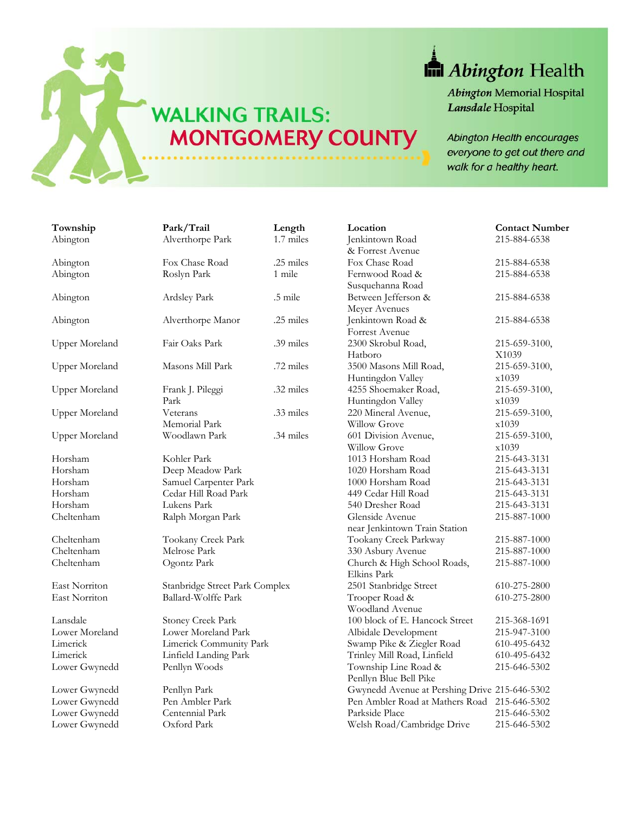

## **In** Abington Health

**Abington Memorial Hospital** Lansdale Hospital

Abington Health encourages everyone to get out there and walk for a healthy heart.

| Township              | Park/Trail                     | Length    | Location                                      | <b>Contact Number</b> |
|-----------------------|--------------------------------|-----------|-----------------------------------------------|-----------------------|
| Abington              | Alverthorpe Park               | 1.7 miles | Jenkintown Road                               | 215-884-6538          |
|                       |                                |           | & Forrest Avenue                              |                       |
| Abington              | Fox Chase Road                 | .25 miles | Fox Chase Road                                | 215-884-6538          |
| Abington              | Roslyn Park                    | 1 mile    | Fernwood Road &                               | 215-884-6538          |
|                       |                                |           | Susquehanna Road                              |                       |
| Abington              | Ardsley Park                   | .5 mile   | Between Jefferson &                           | 215-884-6538          |
|                       |                                |           | Meyer Avenues                                 |                       |
| Abington              | Alverthorpe Manor              | .25 miles | Jenkintown Road &                             | 215-884-6538          |
|                       |                                |           | Forrest Avenue                                |                       |
| <b>Upper Moreland</b> | Fair Oaks Park                 | .39 miles | 2300 Skrobul Road,                            | 215-659-3100,         |
|                       |                                |           | Hatboro                                       | X1039                 |
| <b>Upper Moreland</b> | Masons Mill Park               | .72 miles | 3500 Masons Mill Road,                        | 215-659-3100,         |
|                       |                                |           | Huntingdon Valley                             | x1039                 |
| <b>Upper Moreland</b> | Frank J. Pileggi               | .32 miles | 4255 Shoemaker Road,                          | 215-659-3100,         |
|                       | Park                           |           | Huntingdon Valley                             | x1039                 |
| <b>Upper Moreland</b> | Veterans                       | .33 miles | 220 Mineral Avenue,                           | 215-659-3100,         |
|                       | Memorial Park                  |           | <b>Willow Grove</b>                           | x1039                 |
| <b>Upper Moreland</b> | Woodlawn Park                  | .34 miles | 601 Division Avenue,                          | 215-659-3100,         |
|                       |                                |           | Willow Grove                                  | x1039                 |
| Horsham               | Kohler Park                    |           | 1013 Horsham Road                             | 215-643-3131          |
| Horsham               | Deep Meadow Park               |           | 1020 Horsham Road                             | 215-643-3131          |
| Horsham               | Samuel Carpenter Park          |           | 1000 Horsham Road                             | 215-643-3131          |
| Horsham               | Cedar Hill Road Park           |           | 449 Cedar Hill Road                           | 215-643-3131          |
| Horsham               | Lukens Park                    |           | 540 Dresher Road                              | 215-643-3131          |
| Cheltenham            | Ralph Morgan Park              |           | Glenside Avenue                               | 215-887-1000          |
|                       |                                |           | near Jenkintown Train Station                 |                       |
| Cheltenham            | Tookany Creek Park             |           | Tookany Creek Parkway                         | 215-887-1000          |
| Cheltenham            | Melrose Park                   |           | 330 Asbury Avenue                             | 215-887-1000          |
| Cheltenham            | Ogontz Park                    |           | Church & High School Roads,                   | 215-887-1000          |
|                       |                                |           | Elkins Park                                   |                       |
| East Norriton         | Stanbridge Street Park Complex |           | 2501 Stanbridge Street                        | 610-275-2800          |
| East Norriton         | Ballard-Wolffe Park            |           | Trooper Road &                                | 610-275-2800          |
|                       |                                |           | Woodland Avenue                               |                       |
| Lansdale              | Stoney Creek Park              |           | 100 block of E. Hancock Street                | 215-368-1691          |
| Lower Moreland        | Lower Moreland Park            |           | Albidale Development                          | 215-947-3100          |
| Limerick              | Limerick Community Park        |           | Swamp Pike & Ziegler Road                     | 610-495-6432          |
| Limerick              | Linfield Landing Park          |           | Trinley Mill Road, Linfield                   | 610-495-6432          |
| Lower Gwynedd         | Penllyn Woods                  |           | Township Line Road &                          | 215-646-5302          |
|                       |                                |           | Penllyn Blue Bell Pike                        |                       |
| Lower Gwynedd         | Penllyn Park                   |           | Gwynedd Avenue at Pershing Drive 215-646-5302 |                       |
| Lower Gwynedd         | Pen Ambler Park                |           | Pen Ambler Road at Mathers Road 215-646-5302  |                       |
| Lower Gwynedd         | Centennial Park                |           | Parkside Place                                | 215-646-5302          |
| Lower Gwynedd         | Oxford Park                    |           | Welsh Road/Cambridge Drive                    | 215-646-5302          |